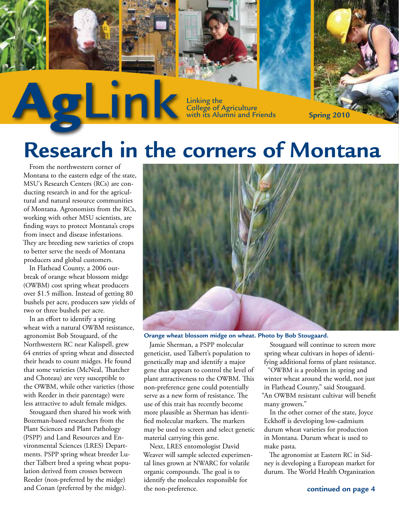AgLinking the College of A Linking the<br>College of Agriculture with its Alumni and Friends **Spring 2** 

# **Research in the corners of Montana**

From the northwestern corner of Montana to the eastern edge of the state, MSU's Research Centers (RCs) are conducting research in and for the agricultural and natural resource communities of Montana. Agronomists from the RCs, working with other MSU scientists, are finding ways to protect Montana's crops from insect and disease infestations. They are breeding new varieties of crops to better serve the needs of Montana producers and global customers.

**Spring 2005**

In Flathead County, a 2006 outbreak of orange wheat blossom midge (OWBM) cost spring wheat producers over \$1.5 million. Instead of getting 80 bushels per acre, producers saw yields of two or three bushels per acre.

In an effort to identify a spring wheat with a natural OWBM resistance, agronomist Bob Stougaard, of the Northwestern RC near Kalispell, grew 64 entries of spring wheat and dissected their heads to count midges. He found that some varieties (McNeal, Thatcher and Choteau) are very susceptible to the OWBM, while other varieties (those with Reeder in their parentage) were less attractive to adult female midges.

Stougaard then shared his work with Bozeman-based researchers from the Plant Sciences and Plant Pathology (PSPP) and Land Resources and Environmental Sciences (LRES) Departments. PSPP spring wheat breeder Luther Talbert bred a spring wheat population derived from crosses between Reeder (non-preferred by the midge) and Conan (preferred by the midge).



Jamie Sherman, a PSPP molecular geneticist, used Talbert's population to genetically map and identify a major gene that appears to control the level of plant attractiveness to the OWBM. This non-preference gene could potentially serve as a new form of resistance. The use of this trait has recently become more plausible as Sherman has identified molecular markers. The markers may be used to screen and select genetic material carrying this gene.

Next, LRES entomologist David Weaver will sample selected experimental lines grown at NWARC for volatile organic compounds. The goal is to identify the molecules responsible for the non-preference.

Stougaard will continue to screen more spring wheat cultivars in hopes of identifying additional forms of plant resistance.

"OWBM is a problem in spring and winter wheat around the world, not just in Flathead County," said Stougaard. "An OWBM resistant cultivar will benefit many growers."

In the other corner of the state, Joyce Eckhoff is developing low-cadmium durum wheat varieties for production in Montana. Durum wheat is used to make pasta.

The agronomist at Eastern RC in Sidney is developing a European market for durum. The World Health Organization





![](_page_0_Picture_17.jpeg)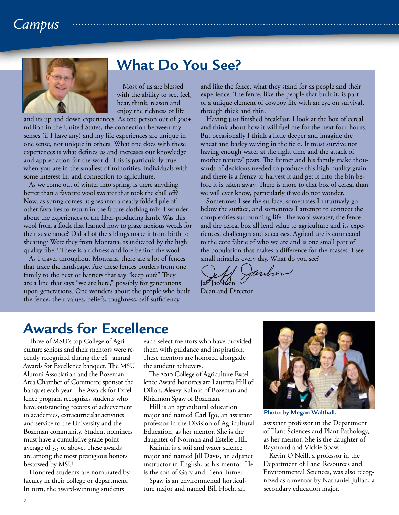# *Campus*

![](_page_1_Picture_1.jpeg)

#### **What Do You See?**

Most of us are blessed with the ability to see, feel, hear, think, reason and enjoy the richness of life

and its up and down experiences. As one person out of 300+ million in the United States, the connection between my senses (if I have any) and my life experiences are unique in one sense, not unique in others. What one does with these experiences is what defines us and increases our knowledge and appreciation for the world. This is particularly true when you are in the smallest of minorities, individuals with some interest in, and connection to agriculture.

As we come out of winter into spring, is there anything better than a favorite wool sweater that took the chill off? Now, as spring comes, it goes into a neatly folded pile of other favorites to return in the future clothing mix. I wonder about the experiences of the fiber-producing lamb. Was this wool from a flock that learned how to graze noxious weeds for their sustenance? Did all of the siblings make it from birth to shearing? Were they from Montana, as indicated by the high quality fiber? There is a richness and lore behind the wool.

As I travel throughout Montana, there are a lot of fences that trace the landscape. Are these fences borders from one family to the next or barriers that say "keep out?" They are a line that says "we are here," possibly for generations upon generations. One wonders about the people who built the fence, their values, beliefs, toughness, self-sufficiency

and like the fence, what they stand for as people and their experience. The fence, like the people that built it, is part of a unique element of cowboy life with an eye on survival, through thick and thin.

Having just finished breakfast, I look at the box of cereal and think about how it will fuel me for the next four hours. But occasionally I think a little deeper and imagine the wheat and barley waving in the field. It must survive not having enough water at the right time and the attack of mother natures' pests. The farmer and his family make thousands of decisions needed to produce this high quality grain and there is a frenzy to harvest it and get it into the bin before it is taken away. There is more to that box of cereal than we will ever know, particularly if we do not wonder.

Sometimes I see the surface, sometimes I intuitively go below the surface, and sometimes I attempt to connect the complexities surrounding life. The wool sweater, the fence and the cereal box all lend value to agriculture and its experiences, challenges and successes. Agriculture is connected to the core fabric of who we are and is one small part of the population that makes a difference for the masses. I see small miracles every day. What do you see?

Indson Jeff Jacobsen

Dean and Director

#### **Awards for Excellence**

Three of MSU's top College of Agriculture seniors and their mentors were recently recognized during the  $28<sup>th</sup>$  annual Awards for Excellence banquet. The MSU Alumni Association and the Bozeman Area Chamber of Commerce sponsor the banquet each year. The Awards for Excellence program recognizes students who have outstanding records of achievement in academics, extracurricular activities and service to the University and the Bozeman community. Student nominees must have a cumulative grade point average of 3.5 or above. These awards are among the most prestigious honors bestowed by MSU.

Honored students are nominated by faculty in their college or department. In turn, the award-winning students

each select mentors who have provided them with guidance and inspiration. These mentors are honored alongside the student achievers.

The 2010 College of Agriculture Excellence Award honorees are Lauretta Hill of Dillon, Alexey Kalinin of Bozeman and Rhiannon Spaw of Bozeman.

Hill is an agricultural education major and named Carl Igo, an assistant professor in the Division of Agricultural Education, as her mentor. She is the daughter of Norman and Estelle Hill.

Kalinin is a soil and water science major and named Jill Davis, an adjunct instructor in English, as his mentor. He is the son of Gary and Elena Turner.

Spaw is an environmental horticulture major and named Bill Hoch, an

![](_page_1_Picture_20.jpeg)

**Photo by Megan Walthall.**

assistant professor in the Department of Plant Sciences and Plant Pathology, as her mentor. She is the daughter of Raymond and Vickie Spaw.

Kevin O'Neill, a professor in the Department of Land Resources and Environmental Sciences, was also recognized as a mentor by Nathaniel Julian, a secondary education major.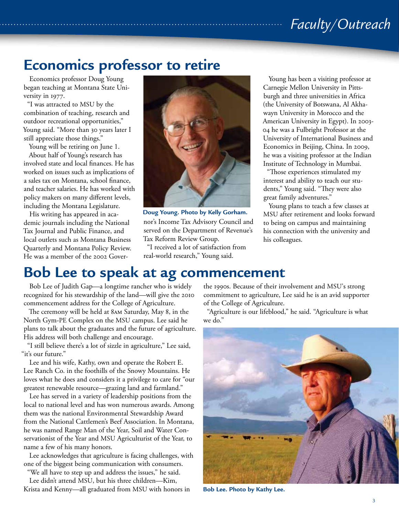# *Faculty/Outreach*

## **Economics professor to retire**

Economics professor Doug Young began teaching at Montana State University in 1977.

"I was attracted to MSU by the combination of teaching, research and outdoor recreational opportunities," Young said. "More than 30 years later I still appreciate those things."

Young will be retiring on June 1.

About half of Young's research has involved state and local finances. He has worked on issues such as implications of a sales tax on Montana, school finance, and teacher salaries. He has worked with policy makers on many different levels, including the Montana Legislature.

His writing has appeared in academic journals including the National Tax Journal and Public Finance, and local outlets such as Montana Business Quarterly and Montana Policy Review. He was a member of the 2002 Gover-

![](_page_2_Picture_7.jpeg)

nor's Income Tax Advisory Council and served on the Department of Revenue's Tax Reform Review Group. **Doug Young. Photo by Kelly Gorham.**

"I received a lot of satisfaction from real-world research," Young said.

Young has been a visiting professor at Carnegie Mellon University in Pittsburgh and three universities in Africa (the University of Botswana, Al Akhawayn University in Morocco and the American University in Egypt). In 2003- 04 he was a Fulbright Professor at the University of International Business and Economics in Beijing, China. In 2009, he was a visiting professor at the Indian Institute of Technology in Mumbai.

"Those experiences stimulated my interest and ability to teach our students," Young said. "They were also great family adventures."

Young plans to teach a few classes at MSU after retirement and looks forward to being on campus and maintaining his connection with the university and his colleagues.

#### **Bob Lee to speak at ag commencement**

Bob Lee of Judith Gap—a longtime rancher who is widely recognized for his stewardship of the land—will give the 2010 commencement address for the College of Agriculture.

The ceremony will be held at 8am Saturday, May 8, in the North Gym-PE Complex on the MSU campus. Lee said he plans to talk about the graduates and the future of agriculture. His address will both challenge and encourage.

"I still believe there's a lot of sizzle in agriculture," Lee said, "it's our future."

Lee and his wife, Kathy, own and operate the Robert E. Lee Ranch Co. in the foothills of the Snowy Mountains. He loves what he does and considers it a privilege to care for "our greatest renewable resource—grazing land and farmland."

Lee has served in a variety of leadership positions from the local to national level and has won numerous awards. Among them was the national Environmental Stewardship Award from the National Cattlemen's Beef Association. In Montana, he was named Range Man of the Year, Soil and Water Conservationist of the Year and MSU Agriculturist of the Year, to name a few of his many honors.

Lee acknowledges that agriculture is facing challenges, with one of the biggest being communication with consumers.

"We all have to step up and address the issues," he said. Lee didn't attend MSU, but his three children—Kim, Krista and Kenny—all graduated from MSU with honors in the 1990s. Because of their involvement and MSU's strong commitment to agriculture, Lee said he is an avid supporter of the College of Agriculture.

"Agriculture is our lifeblood," he said. "Agriculture is what we do."

![](_page_2_Picture_23.jpeg)

**Bob Lee. Photo by Kathy Lee.**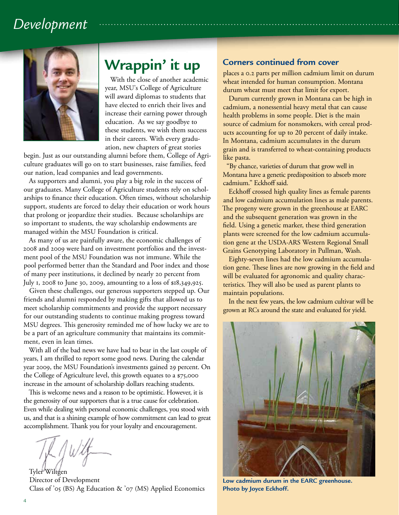# *Development*

![](_page_3_Picture_1.jpeg)

# **Wrappin' it up**

With the close of another academic year, MSU's College of Agriculture will award diplomas to students that have elected to enrich their lives and increase their earning power through education. As we say goodbye to these students, we wish them success in their careers. With every graduation, new chapters of great stories

begin. Just as our outstanding alumni before them, College of Agriculture graduates will go on to start businesses, raise families, feed our nation, lead companies and lead governments.

As supporters and alumni, you play a big role in the success of our graduates. Many College of Agriculture students rely on scholarships to finance their education. Often times, without scholarship support, students are forced to delay their education or work hours that prolong or jeopardize their studies. Because scholarships are so important to students, the way scholarship endowments are managed within the MSU Foundation is critical.

As many of us are painfully aware, the economic challenges of 2008 and 2009 were hard on investment portfolios and the investment pool of the MSU Foundation was not immune. While the pool performed better than the Standard and Poor index and those of many peer institutions, it declined by nearly 20 percent from July 1, 2008 to June 30, 2009, amounting to a loss of \$18,349,925.

Given these challenges, our generous supporters stepped up. Our friends and alumni responded by making gifts that allowed us to meet scholarship commitments and provide the support necessary for our outstanding students to continue making progress toward MSU degrees. This generosity reminded me of how lucky we are to be a part of an agriculture community that maintains its commitment, even in lean times.

With all of the bad news we have had to bear in the last couple of years, I am thrilled to report some good news. During the calendar year 2009, the MSU Foundation's investments gained 29 percent. On the College of Agriculture level, this growth equates to a \$75,000 increase in the amount of scholarship dollars reaching students.

This is welcome news and a reason to be optimistic. However, it is the generosity of our supporters that is a true cause for celebration. Even while dealing with personal economic challenges, you stood with us, and that is a shining example of how commitment can lead to great accomplishment. Thank you for your loyalty and encouragement.

Tyler Wiltgen Director of Development Class of '05 (BS) Ag Education & '07 (MS) Applied Economics

#### **Corners continued from cover**

places a 0.2 parts per million cadmium limit on durum wheat intended for human consumption. Montana durum wheat must meet that limit for export.

Durum currently grown in Montana can be high in cadmium, a nonessential heavy metal that can cause health problems in some people. Diet is the main source of cadmium for nonsmokers, with cereal products accounting for up to 20 percent of daily intake. In Montana, cadmium accumulates in the durum grain and is transferred to wheat-containing products like pasta.

"By chance, varieties of durum that grow well in Montana have a genetic predisposition to absorb more cadmium." Eckhoff said.

Eckhoff crossed high quality lines as female parents and low cadmium accumulation lines as male parents. The progeny were grown in the greenhouse at EARC and the subsequent generation was grown in the field. Using a genetic marker, these third generation plants were screened for the low cadmium accumulation gene at the USDA-ARS Western Regional Small Grains Genotyping Laboratory in Pullman, Wash.

Eighty-seven lines had the low cadmium accumulation gene. These lines are now growing in the field and will be evaluated for agronomic and quality characteristics. They will also be used as parent plants to maintain populations.

In the next few years, the low cadmium cultivar will be grown at RCs around the state and evaluated for yield.

![](_page_3_Picture_19.jpeg)

**Low cadmium durum in the EARC greenhouse. Photo by Joyce Eckhoff.**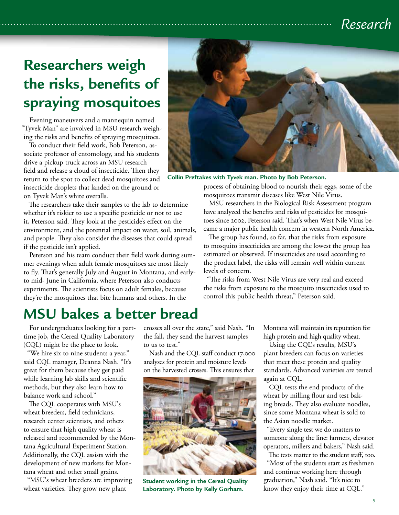# *Research*

# **Researchers weigh the risks, benefits of spraying mosquitoes**

Evening maneuvers and a mannequin named "Tyvek Man" are involved in MSU research weighing the risks and benefits of spraying mosquitoes.

To conduct their field work, Bob Peterson, associate professor of entomology, and his students drive a pickup truck across an MSU research field and release a cloud of insecticide. Then they return to the spot to collect dead mosquitoes and insecticide droplets that landed on the ground or on Tyvek Man's white overalls.

The researchers take their samples to the lab to determine whether it's riskier to use a specific pesticide or not to use it, Peterson said. They look at the pesticide's effect on the environment, and the potential impact on water, soil, animals, and people. They also consider the diseases that could spread if the pesticide isn't applied.

Peterson and his team conduct their field work during summer evenings when adult female mosquitoes are most likely to fly. That's generally July and August in Montana, and earlyto mid- June in California, where Peterson also conducts experiments. The scientists focus on adult females, because they're the mosquitoes that bite humans and others. In the

![](_page_4_Picture_6.jpeg)

**Collin Preftakes with Tyvek man. Photo by Bob Peterson.**

process of obtaining blood to nourish their eggs, some of the mosquitoes transmit diseases like West Nile Virus.

MSU researchers in the Biological Risk Assessment program have analyzed the benefits and risks of pesticides for mosquitoes since 2002, Peterson said. That's when West Nile Virus became a major public health concern in western North America.

The group has found, so far, that the risks from exposure to mosquito insecticides are among the lowest the group has estimated or observed. If insecticides are used according to the product label, the risks will remain well within current levels of concern.

"The risks from West Nile Virus are very real and exceed the risks from exposure to the mosquito insecticides used to control this public health threat," Peterson said.

### **MSU bakes a better bread**

For undergraduates looking for a parttime job, the Cereal Quality Laboratory (CQL) might be the place to look.

"We hire six to nine students a year," said CQL manager, Deanna Nash. "It's great for them because they get paid while learning lab skills and scientific methods, but they also learn how to balance work and school."

The CQL cooperates with MSU's wheat breeders, field technicians, research center scientists, and others to ensure that high quality wheat is released and recommended by the Montana Agricultural Experiment Station. Additionally, the CQL assists with the development of new markets for Montana wheat and other small grains.

"MSU's wheat breeders are improving wheat varieties. They grow new plant

crosses all over the state," said Nash. "In the fall, they send the harvest samples to us to test."

Nash and the CQL staff conduct 17,000 analyses for protein and moisture levels on the harvested crosses. This ensures that

![](_page_4_Picture_19.jpeg)

**Student working in the Cereal Quality Laboratory. Photo by Kelly Gorham.**

Montana will maintain its reputation for high protein and high quality wheat.

Using the CQL's results, MSU's plant breeders can focus on varieties that meet these protein and quality standards. Advanced varieties are tested again at CQL.

CQL tests the end products of the wheat by milling flour and test baking breads. They also evaluate noodles, since some Montana wheat is sold to the Asian noodle market.

"Every single test we do matters to someone along the line: farmers, elevator operators, millers and bakers," Nash said.

The tests matter to the student staff, too. "Most of the students start as freshmen and continue working here through graduation," Nash said. "It's nice to know they enjoy their time at CQL."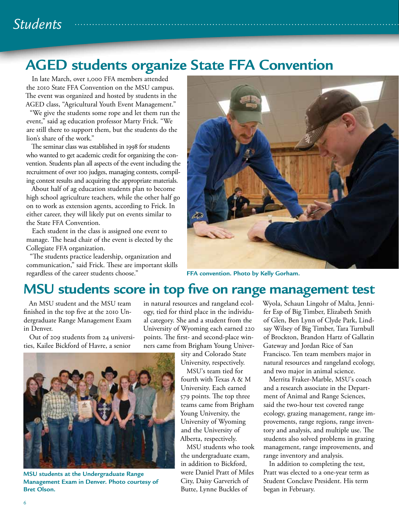# *Students*

# **AGED students organize State FFA Convention**

In late March, over 1,000 FFA members attended the 2010 State FFA Convention on the MSU campus. The event was organized and hosted by students in the AGED class, "Agricultural Youth Event Management."

"We give the students some rope and let them run the event," said ag education professor Marty Frick. "We are still there to support them, but the students do the lion's share of the work."

The seminar class was established in 1998 for students who wanted to get academic credit for organizing the convention. Students plan all aspects of the event including the recruitment of over 100 judges, managing contests, compiling contest results and acquiring the appropriate materials.

About half of ag education students plan to become high school agriculture teachers, while the other half go on to work as extension agents, according to Frick. In either career, they will likely put on events similar to the State FFA Convention.

Each student in the class is assigned one event to manage. The head chair of the event is elected by the Collegiate FFA organization.

"The students practice leadership, organization and communication," said Frick. These are important skills regardless of the career students choose."

![](_page_5_Picture_8.jpeg)

**FFA convention. Photo by Kelly Gorham.**

#### **MSU students score in top five on range management test**

An MSU student and the MSU team finished in the top five at the 2010 Undergraduate Range Management Exam in Denver.

Out of 209 students from 24 universities, Kailee Bickford of Havre, a senior

in natural resources and rangeland ecology, tied for third place in the individual category. She and a student from the University of Wyoming each earned 220 points. The first- and second-place winners came from Brigham Young Univer-

sity and Colorado State University, respectively.

MSU's team tied for fourth with Texas A & M University. Each earned 579 points. The top three teams came from Brigham Young University, the University of Wyoming and the University of Alberta, respectively.

MSU students who took the undergraduate exam, in addition to Bickford, were Daniel Pratt of Miles City, Daisy Garverich of Butte, Lynne Buckles of

Wyola, Schaun Lingohr of Malta, Jennifer Esp of Big Timber, Elizabeth Smith of Glen, Ben Lynn of Clyde Park, Lindsay Wilsey of Big Timber, Tara Turnbull of Brockton, Brandon Hartz of Gallatin Gateway and Jordan Rice of San Francisco. Ten team members major in natural resources and rangeland ecology, and two major in animal science.

Merrita Fraker-Marble, MSU's coach and a research associate in the Department of Animal and Range Sciences, said the two-hour test covered range ecology, grazing management, range improvements, range regions, range inventory and analysis, and multiple use. The students also solved problems in grazing management, range improvements, and range inventory and analysis.

In addition to completing the test, Pratt was elected to a one-year term as Student Conclave President. His term began in February.

![](_page_5_Picture_20.jpeg)

**MSU students at the Undergraduate Range Management Exam in Denver. Photo courtesy of Bret Olson.**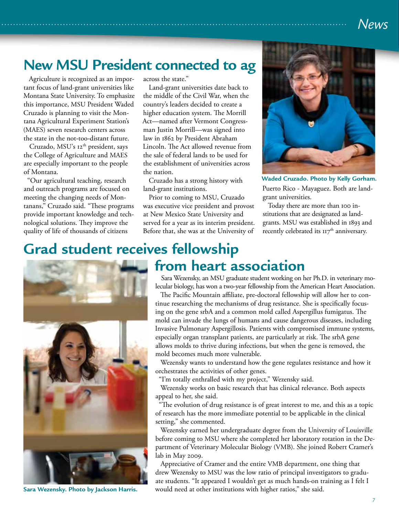### *News*

# **New MSU President connected to ag**

Agriculture is recognized as an important focus of land-grant universities like Montana State University. To emphasize this importance, MSU President Waded Cruzado is planning to visit the Montana Agricultural Experiment Station's (MAES) seven research centers across the state in the not-too-distant future.

Cruzado, MSU's 12<sup>th</sup> president, says the College of Agriculture and MAES are especially important to the people of Montana.

"Our agricultural teaching, research and outreach programs are focused on meeting the changing needs of Montanans," Cruzado said. "These programs provide important knowledge and technological solutions. They improve the quality of life of thousands of citizens

across the state."

Land-grant universities date back to the middle of the Civil War, when the country's leaders decided to create a higher education system. The Morrill Act—named after Vermont Congressman Justin Morrill—was signed into law in 1862 by President Abraham Lincoln. The Act allowed revenue from the sale of federal lands to be used for the establishment of universities across the nation.

Cruzado has a strong history with land-grant institutions.

Prior to coming to MSU, Cruzado was executive vice president and provost at New Mexico State University and served for a year as its interim president. Before that, she was at the University of

![](_page_6_Picture_9.jpeg)

Puerto Rico - Mayaguez. Both are landgrant universities. **Waded Cruzado. Photo by Kelly Gorham.**

Today there are more than 100 institutions that are designated as landgrants. MSU was established in 1893 and recently celebrated its  $117<sup>th</sup>$  anniversary.

#### **Grad student receives fellowship from heart association**

![](_page_6_Picture_13.jpeg)

**Sara Wezensky. Photo by Jackson Harris.**

Sara Wezensky, an MSU graduate student working on her Ph.D. in veterinary molecular biology, has won a two-year fellowship from the American Heart Association.

The Pacific Mountain affiliate, pre-doctoral fellowship will allow her to continue researching the mechanisms of drug resistance. She is specifically focusing on the gene srbA and a common mold called Aspergillus fumigatus. The mold can invade the lungs of humans and cause dangerous diseases, including Invasive Pulmonary Aspergillosis. Patients with compromised immune systems, especially organ transplant patients, are particularly at risk. The srbA gene allows molds to thrive during infections, but when the gene is removed, the mold becomes much more vulnerable.

Wezensky wants to understand how the gene regulates resistance and how it orchestrates the activities of other genes.

"I'm totally enthralled with my project," Wezensky said.

Wezensky works on basic research that has clinical relevance. Both aspects appeal to her, she said.

"The evolution of drug resistance is of great interest to me, and this as a topic of research has the more immediate potential to be applicable in the clinical setting," she commented.

Wezensky earned her undergraduate degree from the University of Louisville before coming to MSU where she completed her laboratory rotation in the Department of Veterinary Molecular Biology (VMB). She joined Robert Cramer's lab in May 2009.

Appreciative of Cramer and the entire VMB department, one thing that drew Wezensky to MSU was the low ratio of principal investigators to graduate students. "It appeared I wouldn't get as much hands-on training as I felt I would need at other institutions with higher ratios," she said.